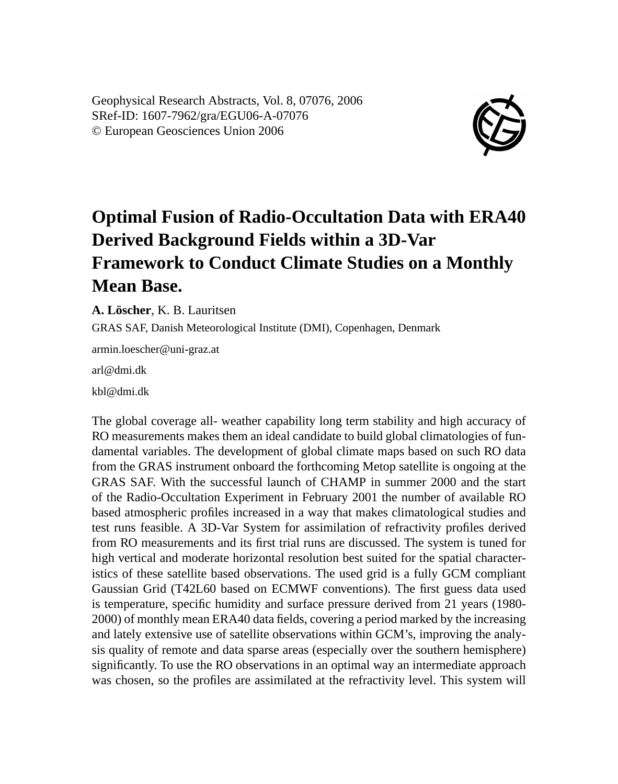Geophysical Research Abstracts, Vol. 8, 07076, 2006 SRef-ID: 1607-7962/gra/EGU06-A-07076 © European Geosciences Union 2006



## **Optimal Fusion of Radio-Occultation Data with ERA40 Derived Background Fields within a 3D-Var Framework to Conduct Climate Studies on a Monthly Mean Base.**

**A. Löscher**, K. B. Lauritsen

GRAS SAF, Danish Meteorological Institute (DMI), Copenhagen, Denmark

armin.loescher@uni-graz.at

arl@dmi.dk

kbl@dmi.dk

The global coverage all- weather capability long term stability and high accuracy of RO measurements makes them an ideal candidate to build global climatologies of fundamental variables. The development of global climate maps based on such RO data from the GRAS instrument onboard the forthcoming Metop satellite is ongoing at the GRAS SAF. With the successful launch of CHAMP in summer 2000 and the start of the Radio-Occultation Experiment in February 2001 the number of available RO based atmospheric profiles increased in a way that makes climatological studies and test runs feasible. A 3D-Var System for assimilation of refractivity profiles derived from RO measurements and its first trial runs are discussed. The system is tuned for high vertical and moderate horizontal resolution best suited for the spatial characteristics of these satellite based observations. The used grid is a fully GCM compliant Gaussian Grid (T42L60 based on ECMWF conventions). The first guess data used is temperature, specific humidity and surface pressure derived from 21 years (1980- 2000) of monthly mean ERA40 data fields, covering a period marked by the increasing and lately extensive use of satellite observations within GCM's, improving the analysis quality of remote and data sparse areas (especially over the southern hemisphere) significantly. To use the RO observations in an optimal way an intermediate approach was chosen, so the profiles are assimilated at the refractivity level. This system will